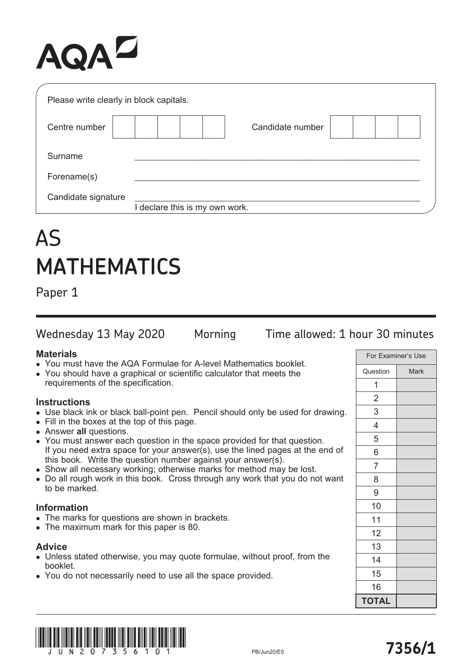# AQAZ

| Please write clearly in block capitals. |                                |  |
|-----------------------------------------|--------------------------------|--|
| Centre number                           | Candidate number               |  |
| Surname                                 |                                |  |
| Forename(s)                             |                                |  |
| Candidate signature                     | I declare this is my own work. |  |

# AS **MATHEMATICS**

Paper 1

Wednesday 13 May 2020 Morning Time allowed: 1 hour 30 minutes

## **Materials**

- You must have the AQA Formulae for A-level Mathematics booklet.
- You should have a graphical or scientific calculator that meets the requirements of the specification.

# **Instructions**

- Use black ink or black ball-point pen. Pencil should only be used for drawing.
- Fill in the boxes at the top of this page.
- **.** Answer all questions.
- You must answer each question in the space provided for that question. If you need extra space for your answer(s), use the lined pages at the end of this book. Write the question number against your answer(s).
- Show all necessary working; otherwise marks for method may be lost.
- Do all rough work in this book. Cross through any work that you do not want to be marked.

## **Information**

- The marks for questions are shown in brackets.
- The maximum mark for this paper is 80.

## **Advice**

- Unless stated otherwise, you may quote formulae, without proof, from the booklet.
- You do not necessarily need to use all the space provided.

| For Examiner's Use |             |  |
|--------------------|-------------|--|
| Question           | <b>Mark</b> |  |
| 1                  |             |  |
| $\overline{c}$     |             |  |
| 3                  |             |  |
| 4                  |             |  |
| 5                  |             |  |
| 6                  |             |  |
| $\overline{7}$     |             |  |
| 8                  |             |  |
| 9                  |             |  |
| 10                 |             |  |
| 11                 |             |  |
| 12                 |             |  |
| 13                 |             |  |
| 14                 |             |  |
| 15                 |             |  |
| 16                 |             |  |
| <b>TOTAL</b>       |             |  |

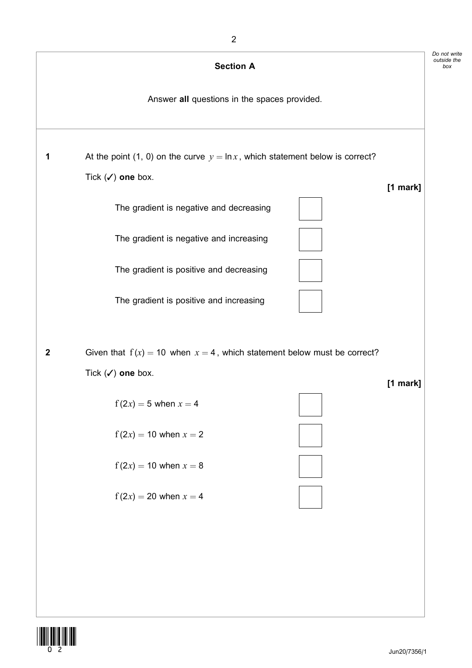

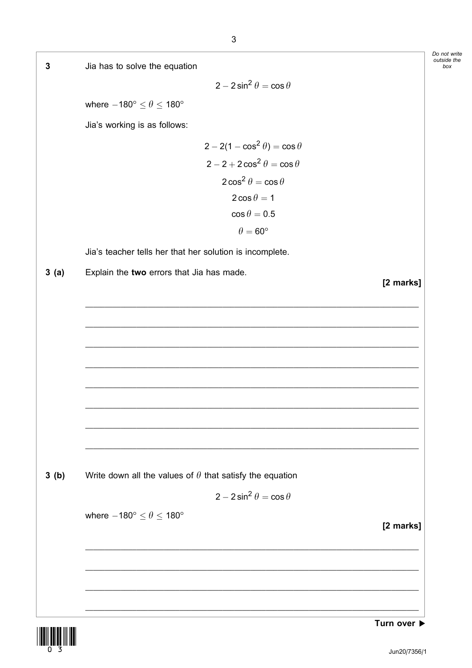



box

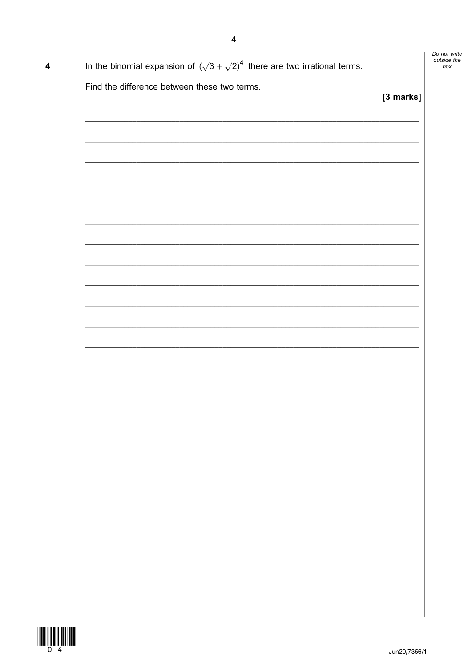| 4 | In the binomial expansion of $(\sqrt{3} + \sqrt{2})^4$ there are two irrational terms. |           | Do not write<br>outside the<br>box |
|---|----------------------------------------------------------------------------------------|-----------|------------------------------------|
|   | Find the difference between these two terms.                                           |           |                                    |
|   |                                                                                        | [3 marks] |                                    |
|   |                                                                                        |           |                                    |
|   |                                                                                        |           |                                    |
|   |                                                                                        |           |                                    |
|   |                                                                                        |           |                                    |
|   |                                                                                        |           |                                    |
|   |                                                                                        |           |                                    |
|   |                                                                                        |           |                                    |
|   |                                                                                        |           |                                    |
|   |                                                                                        |           |                                    |
|   |                                                                                        |           |                                    |
|   |                                                                                        |           |                                    |
|   |                                                                                        |           |                                    |
|   |                                                                                        |           |                                    |
|   |                                                                                        |           |                                    |
|   |                                                                                        |           |                                    |
|   |                                                                                        |           |                                    |
|   |                                                                                        |           |                                    |
|   |                                                                                        |           |                                    |
|   |                                                                                        |           |                                    |
|   |                                                                                        |           |                                    |
|   |                                                                                        |           |                                    |
|   |                                                                                        |           |                                    |
|   |                                                                                        |           |                                    |
|   |                                                                                        |           |                                    |
|   |                                                                                        |           |                                    |
|   |                                                                                        |           |                                    |
|   |                                                                                        |           |                                    |
|   |                                                                                        |           |                                    |

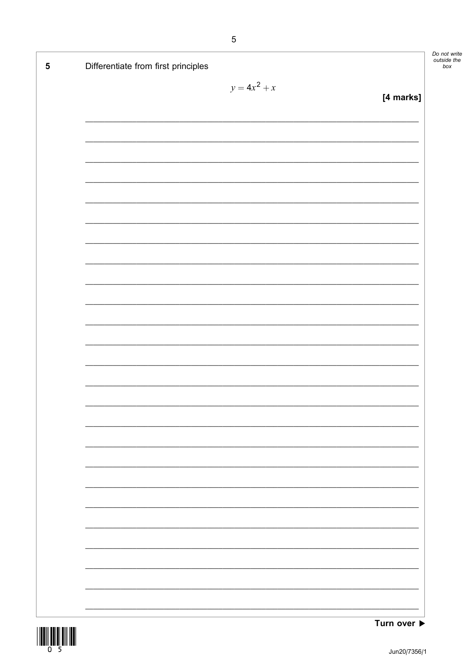| Differentiate from first principles |                |           |
|-------------------------------------|----------------|-----------|
|                                     | $y = 4x^2 + x$ | [4 marks] |
|                                     |                |           |
|                                     |                |           |
|                                     |                |           |
|                                     |                |           |
|                                     |                |           |
|                                     |                |           |
|                                     |                |           |
|                                     |                |           |
|                                     |                |           |
|                                     |                |           |
|                                     |                |           |
|                                     |                |           |
|                                     |                |           |
|                                     |                |           |
|                                     |                |           |
|                                     |                |           |
|                                     |                |           |
|                                     |                |           |
|                                     |                |           |
|                                     |                |           |
|                                     |                |           |
|                                     |                |           |
|                                     |                |           |
|                                     |                |           |
|                                     |                |           |



not write<br>tside the<br>box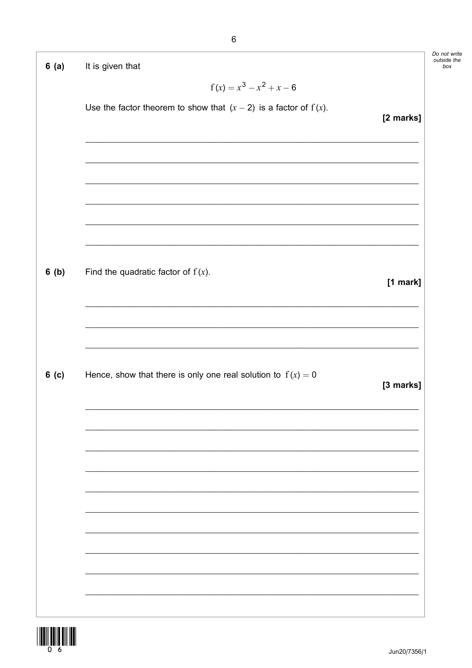| 6(a)  | It is given that                                                                                                     |           |
|-------|----------------------------------------------------------------------------------------------------------------------|-----------|
|       | $f(x) = x^3 - x^2 + x - 6$                                                                                           |           |
|       | Use the factor theorem to show that $(x - 2)$ is a factor of $f(x)$ .                                                | [2 marks] |
|       |                                                                                                                      |           |
|       | <u> 2000 - 2000 - 2000 - 2000 - 2000 - 2000 - 2000 - 2000 - 2000 - 2000 - 2000 - 2000 - 2000 - 2000 - 2000 - 200</u> |           |
|       | <u> 2002 - Jan James James Jan James James Jan James James Jan James James Jan James James Jan Jan James James J</u> |           |
| 6(b)  | Find the quadratic factor of $f(x)$ .                                                                                | [1 mark]  |
|       |                                                                                                                      |           |
| 6( c) | Hence, show that there is only one real solution to $f(x) = 0$                                                       | [3 marks] |
|       |                                                                                                                      |           |
|       |                                                                                                                      |           |
|       |                                                                                                                      |           |
|       |                                                                                                                      |           |
|       |                                                                                                                      |           |
|       |                                                                                                                      |           |



Do not write<br>outside the<br>box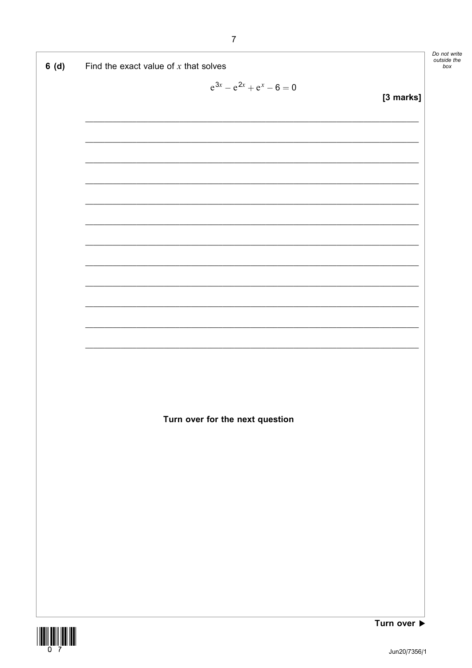| 6(d) | Find the exact value of $x$ that solves                                                                               | Do not write<br>outside the<br>box |
|------|-----------------------------------------------------------------------------------------------------------------------|------------------------------------|
|      | $e^{3x} - e^{2x} + e^x - 6 = 0$                                                                                       |                                    |
|      | [3 marks]                                                                                                             |                                    |
|      |                                                                                                                       |                                    |
|      |                                                                                                                       |                                    |
|      |                                                                                                                       |                                    |
|      | <u> 1989 - John Harry Harry Harry Harry Harry Harry Harry Harry Harry Harry Harry Harry Harry Harry Harry Harry H</u> |                                    |
|      |                                                                                                                       |                                    |
|      |                                                                                                                       |                                    |
|      |                                                                                                                       |                                    |
|      |                                                                                                                       |                                    |
|      |                                                                                                                       |                                    |
|      |                                                                                                                       |                                    |
|      |                                                                                                                       |                                    |
|      |                                                                                                                       |                                    |
|      |                                                                                                                       |                                    |
|      |                                                                                                                       |                                    |
|      |                                                                                                                       |                                    |
|      |                                                                                                                       |                                    |
|      | Turn over for the next question                                                                                       |                                    |
|      |                                                                                                                       |                                    |
|      |                                                                                                                       |                                    |
|      |                                                                                                                       |                                    |
|      |                                                                                                                       |                                    |
|      |                                                                                                                       |                                    |
|      |                                                                                                                       |                                    |
|      |                                                                                                                       |                                    |
|      |                                                                                                                       |                                    |
|      |                                                                                                                       |                                    |
|      | Turn over $\blacktriangleright$                                                                                       |                                    |

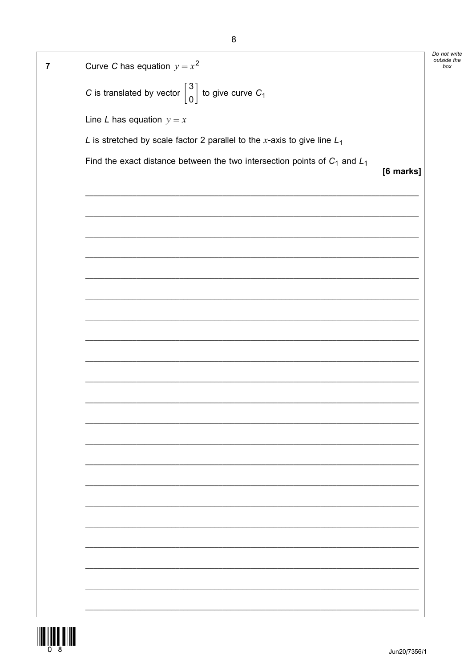Do not write outside the Curve C has equation  $y = x^2$  $\overline{7}$ box C is translated by vector  $\begin{bmatrix} 3 \\ 0 \end{bmatrix}$  to give curve  $C_1$ Line L has equation  $y = x$ L is stretched by scale factor 2 parallel to the x-axis to give line  $L_1$ Find the exact distance between the two intersection points of  $C_1$  and  $L_1$ [6 marks]

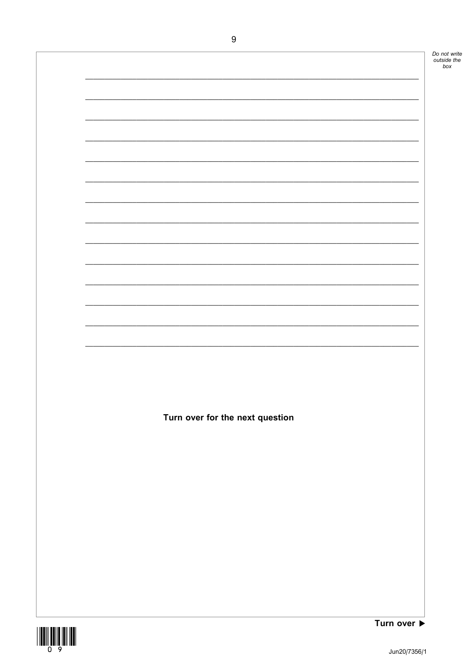Do not write<br>outside the<br>box

Turn over for the next question

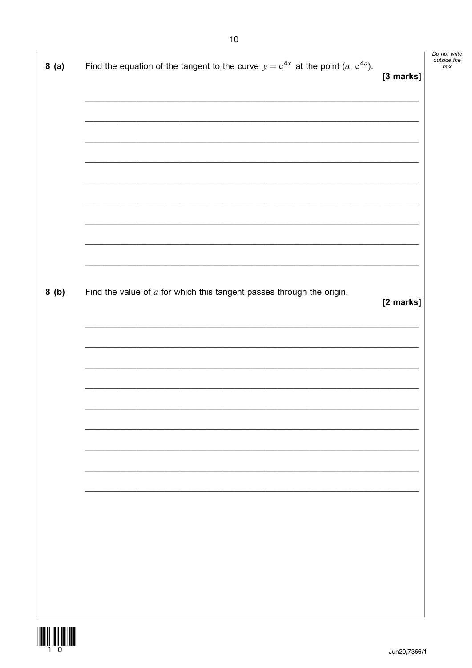| 8(a) | Find the equation of the tangent to the curve $y = e^{4x}$ at the point $(a, e^{4a})$ . | [3 marks] |
|------|-----------------------------------------------------------------------------------------|-----------|
|      |                                                                                         |           |
|      |                                                                                         |           |
|      |                                                                                         |           |
|      |                                                                                         |           |
| 8(b) | Find the value of $a$ for which this tangent passes through the origin.                 | [2 marks] |
|      |                                                                                         |           |
|      |                                                                                         |           |
|      |                                                                                         |           |
|      |                                                                                         |           |
|      |                                                                                         |           |
|      |                                                                                         |           |
|      |                                                                                         |           |

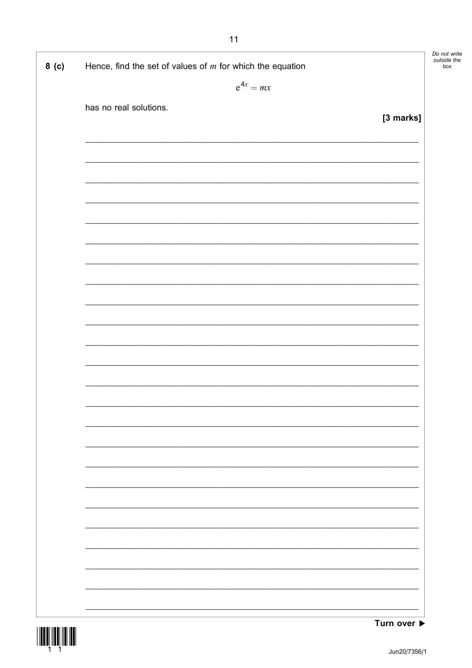| 8( c) | Hence, find the set of values of $m$ for which the equation                                                           |           | Do not write<br>outside the<br>box |
|-------|-----------------------------------------------------------------------------------------------------------------------|-----------|------------------------------------|
|       | $e^{4x} = mx$                                                                                                         |           |                                    |
|       |                                                                                                                       |           |                                    |
|       | has no real solutions.                                                                                                | [3 marks] |                                    |
|       |                                                                                                                       |           |                                    |
|       |                                                                                                                       |           |                                    |
|       |                                                                                                                       |           |                                    |
|       |                                                                                                                       |           |                                    |
|       |                                                                                                                       |           |                                    |
|       |                                                                                                                       |           |                                    |
|       |                                                                                                                       |           |                                    |
|       |                                                                                                                       |           |                                    |
|       |                                                                                                                       |           |                                    |
|       |                                                                                                                       |           |                                    |
|       |                                                                                                                       |           |                                    |
|       |                                                                                                                       |           |                                    |
|       | <u> 1989 - Johann Harry Harry Harry Harry Harry Harry Harry Harry Harry Harry Harry Harry Harry Harry Harry Harry</u> |           |                                    |
|       |                                                                                                                       |           |                                    |
|       |                                                                                                                       |           |                                    |
|       |                                                                                                                       |           |                                    |
|       |                                                                                                                       |           |                                    |
|       |                                                                                                                       |           |                                    |
|       |                                                                                                                       |           |                                    |
|       |                                                                                                                       |           |                                    |
|       |                                                                                                                       |           |                                    |
|       |                                                                                                                       |           |                                    |
|       |                                                                                                                       |           |                                    |
|       |                                                                                                                       |           |                                    |
|       |                                                                                                                       |           |                                    |
|       |                                                                                                                       |           |                                    |
|       |                                                                                                                       |           |                                    |
|       |                                                                                                                       |           |                                    |

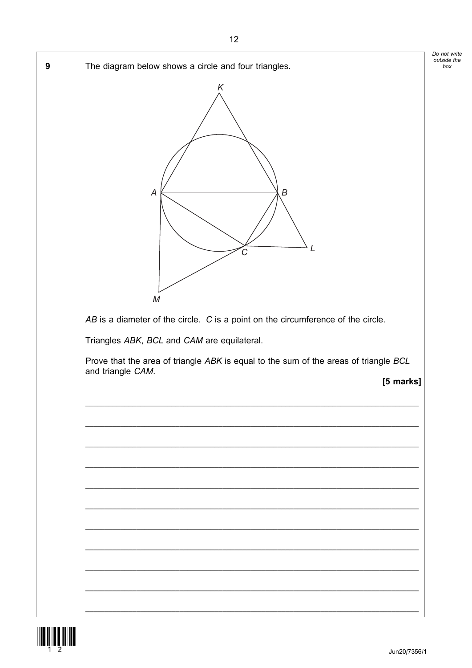

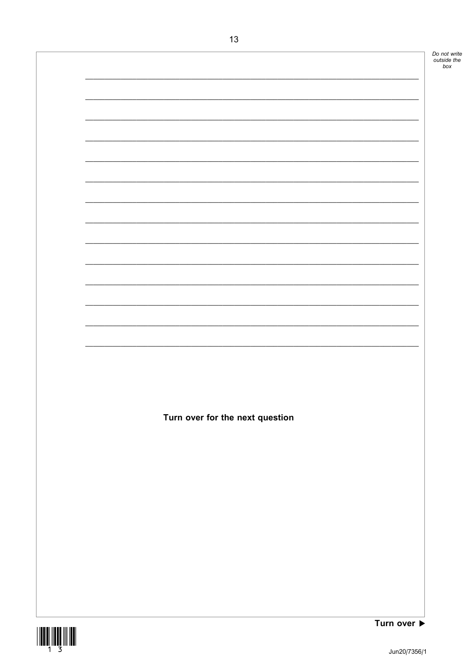Do not write<br>outside the<br>box Turn over for the next question Turn over ▶

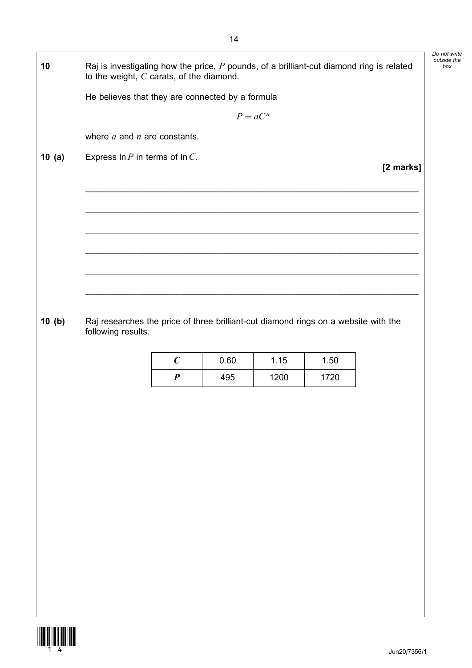| 10    | Raj is investigating how the price, $P$ pounds, of a brilliant-cut diamond ring is related<br>to the weight, $C$ carats, of the diamond. |                  |            |      |      |           |
|-------|------------------------------------------------------------------------------------------------------------------------------------------|------------------|------------|------|------|-----------|
|       | He believes that they are connected by a formula                                                                                         |                  |            |      |      |           |
|       |                                                                                                                                          |                  | $P = aC^n$ |      |      |           |
|       | where $a$ and $n$ are constants.                                                                                                         |                  |            |      |      |           |
| 10(a) | Express $\ln P$ in terms of $\ln C$ .                                                                                                    |                  |            |      |      |           |
|       |                                                                                                                                          |                  |            |      |      | [2 marks] |
|       |                                                                                                                                          |                  |            |      |      |           |
|       |                                                                                                                                          |                  |            |      |      |           |
|       |                                                                                                                                          |                  |            |      |      |           |
|       |                                                                                                                                          |                  |            |      |      |           |
|       |                                                                                                                                          |                  |            |      |      |           |
|       |                                                                                                                                          |                  |            |      |      |           |
| 10(b) | Raj researches the price of three brilliant-cut diamond rings on a website with the<br>following results.                                |                  |            |      |      |           |
|       |                                                                                                                                          | $\boldsymbol{C}$ | 0.60       | 1.15 | 1.50 |           |
|       |                                                                                                                                          | $\boldsymbol{P}$ | 495        | 1200 | 1720 |           |
|       |                                                                                                                                          |                  |            |      |      |           |
|       |                                                                                                                                          |                  |            |      |      |           |
|       |                                                                                                                                          |                  |            |      |      |           |
|       |                                                                                                                                          |                  |            |      |      |           |
|       |                                                                                                                                          |                  |            |      |      |           |
|       |                                                                                                                                          |                  |            |      |      |           |
|       |                                                                                                                                          |                  |            |      |      |           |
|       |                                                                                                                                          |                  |            |      |      |           |
|       |                                                                                                                                          |                  |            |      |      |           |
|       |                                                                                                                                          |                  |            |      |      |           |
|       |                                                                                                                                          |                  |            |      |      |           |
|       |                                                                                                                                          |                  |            |      |      |           |
|       |                                                                                                                                          |                  |            |      |      |           |

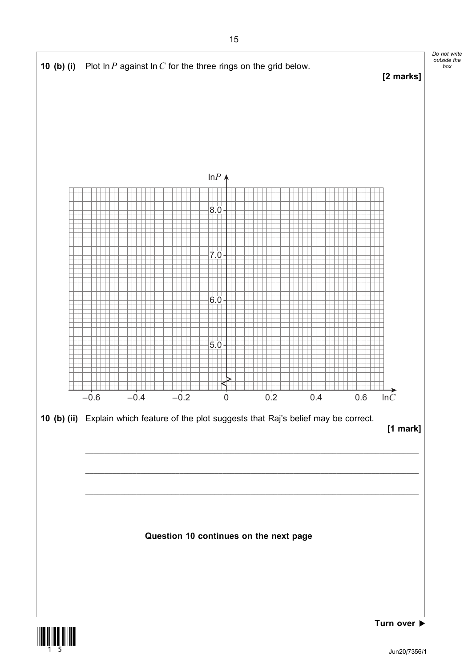

box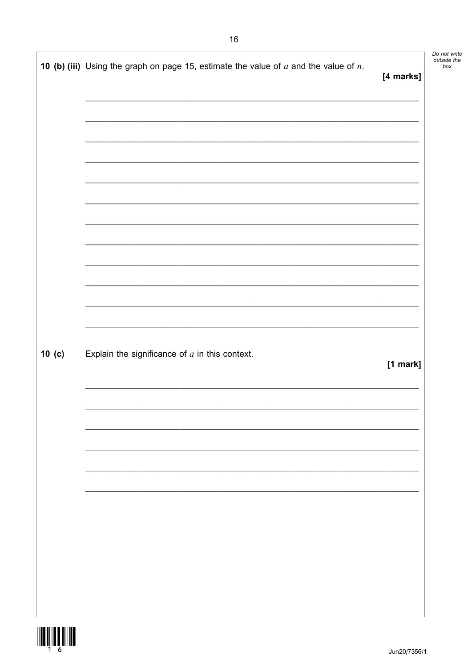10 (b) (iii) Using the graph on page 15, estimate the value of  $a$  and the value of  $n$ . [4 marks]

 $10(c)$ Explain the significance of  $a$  in this context. Do not write<br>outside the

 $box$ 

**WILLIAM AND** 16

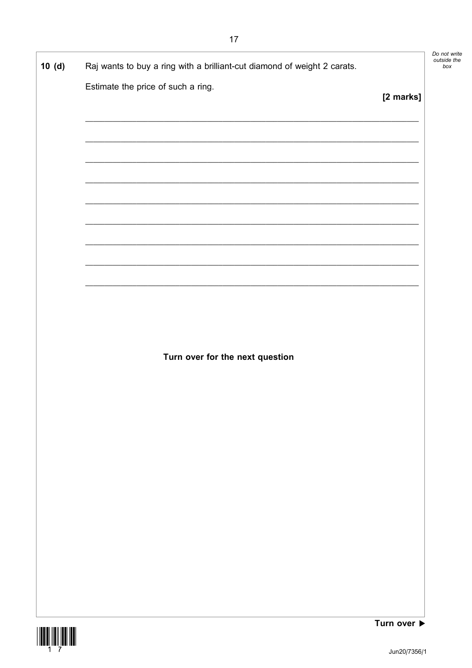$17$ 

| 10(d) | Raj wants to buy a ring with a brilliant-cut diamond of weight 2 carats.                                                                                                           |           |
|-------|------------------------------------------------------------------------------------------------------------------------------------------------------------------------------------|-----------|
|       | Estimate the price of such a ring.                                                                                                                                                 | [2 marks] |
|       |                                                                                                                                                                                    |           |
|       |                                                                                                                                                                                    |           |
|       |                                                                                                                                                                                    |           |
|       |                                                                                                                                                                                    |           |
|       | <u> 1989 - Johann Stoff, amerikansk politiker (* 1908)</u><br><u> 2000 - Jan James James Jan James James James James James James James James James James James James James Jam</u> |           |
|       |                                                                                                                                                                                    |           |
|       |                                                                                                                                                                                    |           |
|       |                                                                                                                                                                                    |           |
|       |                                                                                                                                                                                    |           |
|       | Turn over for the next question                                                                                                                                                    |           |
|       |                                                                                                                                                                                    |           |
|       |                                                                                                                                                                                    |           |
|       |                                                                                                                                                                                    |           |
|       |                                                                                                                                                                                    |           |
|       |                                                                                                                                                                                    |           |
|       |                                                                                                                                                                                    |           |
|       |                                                                                                                                                                                    |           |
|       |                                                                                                                                                                                    |           |
|       |                                                                                                                                                                                    |           |



Do not write<br>outside the<br>box

٦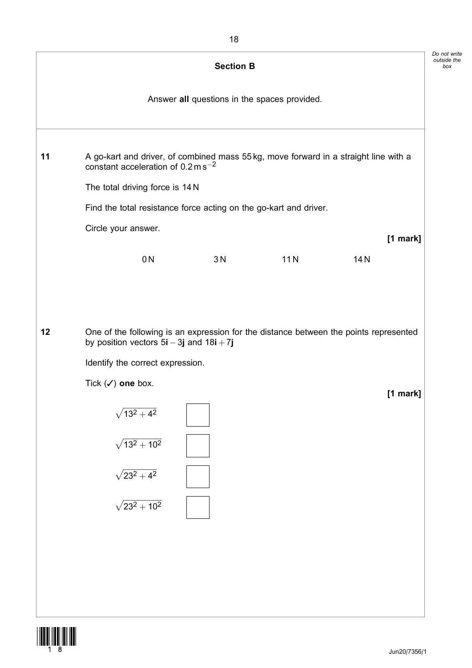|    |                                                                                                                                                                           | <b>Section B</b>                             |     |          |  |
|----|---------------------------------------------------------------------------------------------------------------------------------------------------------------------------|----------------------------------------------|-----|----------|--|
|    |                                                                                                                                                                           | Answer all questions in the spaces provided. |     |          |  |
| 11 | A go-kart and driver, of combined mass 55 kg, move forward in a straight line with a<br>constant acceleration of $0.2 \text{ m s}^{-2}$                                   |                                              |     |          |  |
|    | The total driving force is 14 N                                                                                                                                           |                                              |     |          |  |
|    | Find the total resistance force acting on the go-kart and driver.                                                                                                         |                                              |     |          |  |
|    | Circle your answer.                                                                                                                                                       |                                              |     | [1 mark] |  |
|    | 0 <sub>N</sub>                                                                                                                                                            | 3N                                           | 11N | 14N      |  |
| 12 | One of the following is an expression for the distance between the points represented<br>by position vectors $5i - 3j$ and $18i + 7j$<br>Identify the correct expression. |                                              |     |          |  |
|    | Tick $(\checkmark)$ one box.                                                                                                                                              |                                              |     | [1 mark] |  |
|    | $\sqrt{13^2+4^2}$                                                                                                                                                         |                                              |     |          |  |
|    | $\sqrt{13^2+10^2}$                                                                                                                                                        |                                              |     |          |  |
|    | $\sqrt{23^2+4^2}$                                                                                                                                                         |                                              |     |          |  |
|    | $\sqrt{23^2+10^2}$                                                                                                                                                        |                                              |     |          |  |
|    |                                                                                                                                                                           |                                              |     |          |  |
|    |                                                                                                                                                                           |                                              |     |          |  |
|    |                                                                                                                                                                           |                                              |     |          |  |
|    |                                                                                                                                                                           |                                              |     |          |  |

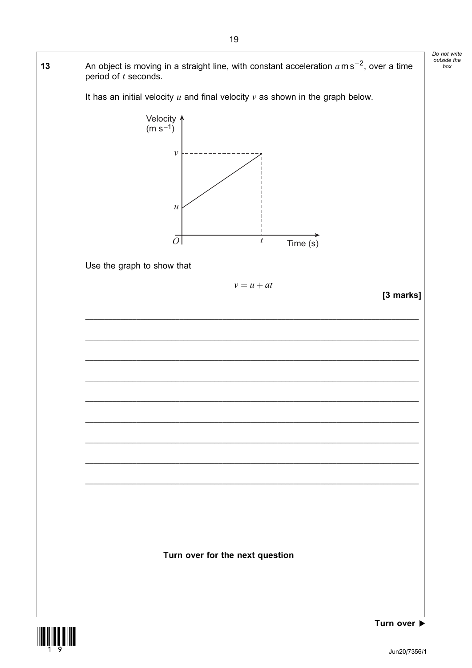



Jun20/7356/1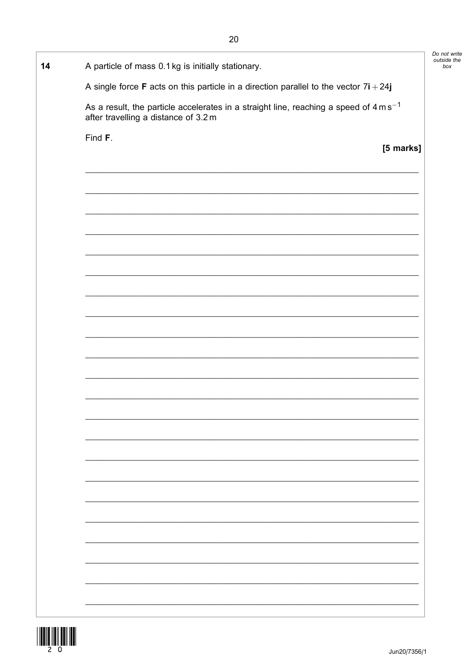| 14 | A particle of mass 0.1 kg is initially stationary.                                                                                         |  |
|----|--------------------------------------------------------------------------------------------------------------------------------------------|--|
|    | A single force F acts on this particle in a direction parallel to the vector $7i + 24j$                                                    |  |
|    | As a result, the particle accelerates in a straight line, reaching a speed of $4 \text{ m s}^{-1}$<br>after travelling a distance of 3.2 m |  |
|    | Find F.<br>[5 marks]                                                                                                                       |  |
|    |                                                                                                                                            |  |
|    |                                                                                                                                            |  |
|    |                                                                                                                                            |  |
|    |                                                                                                                                            |  |
|    |                                                                                                                                            |  |
|    |                                                                                                                                            |  |
|    |                                                                                                                                            |  |
|    | and the control of the control of the control of the control of the control of the control of the control of the                           |  |
|    |                                                                                                                                            |  |
|    |                                                                                                                                            |  |
|    |                                                                                                                                            |  |
|    |                                                                                                                                            |  |
|    |                                                                                                                                            |  |
|    |                                                                                                                                            |  |
|    |                                                                                                                                            |  |
|    |                                                                                                                                            |  |
|    |                                                                                                                                            |  |
|    |                                                                                                                                            |  |
|    |                                                                                                                                            |  |
|    |                                                                                                                                            |  |
|    |                                                                                                                                            |  |
|    |                                                                                                                                            |  |
|    |                                                                                                                                            |  |

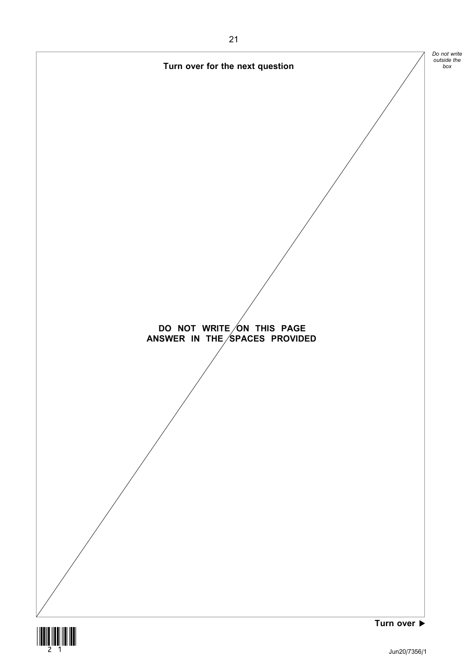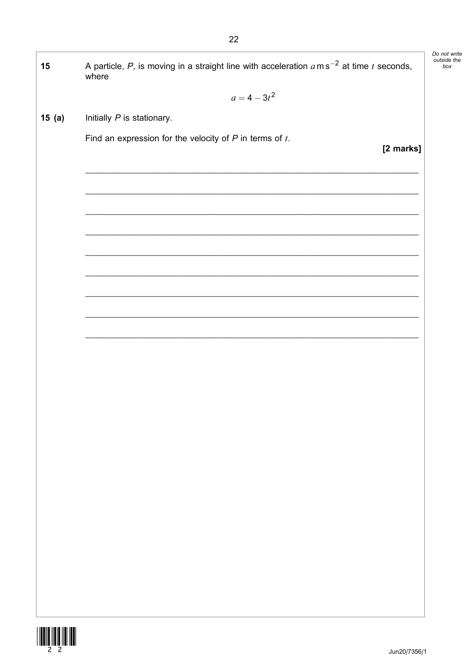| 15    | A particle, P, is moving in a straight line with acceleration $a$ m s <sup>-2</sup> at time t seconds,<br>where |
|-------|-----------------------------------------------------------------------------------------------------------------|
|       | $a = 4 - 3t^2$                                                                                                  |
| 15(a) | Initially P is stationary.                                                                                      |
|       | Find an expression for the velocity of $P$ in terms of $t$ .<br>[2 marks]                                       |
|       |                                                                                                                 |
|       |                                                                                                                 |
|       |                                                                                                                 |
|       |                                                                                                                 |
|       |                                                                                                                 |
|       |                                                                                                                 |
|       |                                                                                                                 |
|       |                                                                                                                 |
|       |                                                                                                                 |
|       |                                                                                                                 |
|       |                                                                                                                 |
|       |                                                                                                                 |
|       |                                                                                                                 |
|       |                                                                                                                 |
|       |                                                                                                                 |
|       |                                                                                                                 |
|       |                                                                                                                 |
|       |                                                                                                                 |
|       |                                                                                                                 |
|       |                                                                                                                 |
|       |                                                                                                                 |
|       |                                                                                                                 |



22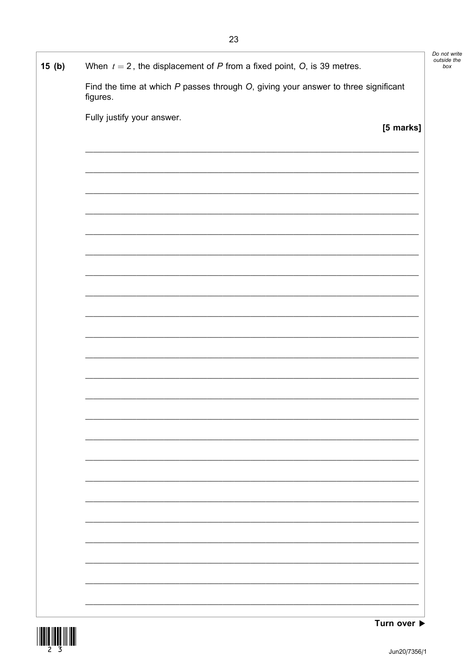| 15(b) | When $t = 2$ , the displacement of P from a fixed point, O, is 39 metres.                           |
|-------|-----------------------------------------------------------------------------------------------------|
|       | Find the time at which $P$ passes through $O$ , giving your answer to three significant<br>figures. |
|       | Fully justify your answer.                                                                          |
|       | [5 marks]                                                                                           |
|       |                                                                                                     |
|       |                                                                                                     |
|       |                                                                                                     |
|       |                                                                                                     |
|       |                                                                                                     |
|       |                                                                                                     |
|       |                                                                                                     |
|       |                                                                                                     |
|       |                                                                                                     |
|       |                                                                                                     |
|       |                                                                                                     |
|       |                                                                                                     |
|       |                                                                                                     |
|       |                                                                                                     |
|       |                                                                                                     |
|       |                                                                                                     |
|       |                                                                                                     |
|       |                                                                                                     |
|       |                                                                                                     |
|       |                                                                                                     |
|       |                                                                                                     |
|       |                                                                                                     |
|       |                                                                                                     |

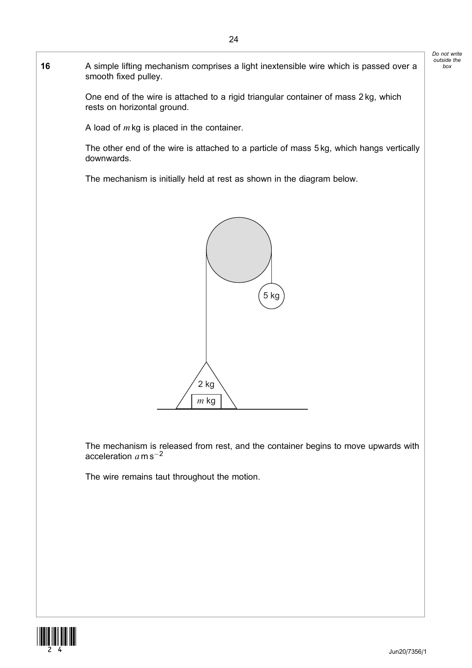16 A simple lifting mechanism comprises a light inextensible wire which is passed over a Do not write outside the box

> One end of the wire is attached to a rigid triangular container of mass 2 kg, which rests on horizontal ground.

A load of  $m$  kg is placed in the container.

smooth fixed pulley.

The other end of the wire is attached to a particle of mass 5 kg, which hangs vertically downwards.

The mechanism is initially held at rest as shown in the diagram below.



The mechanism is released from rest, and the container begins to move upwards with acceleration  $\emph{a}$  m s $^{-2}$ 

The wire remains taut throughout the motion.

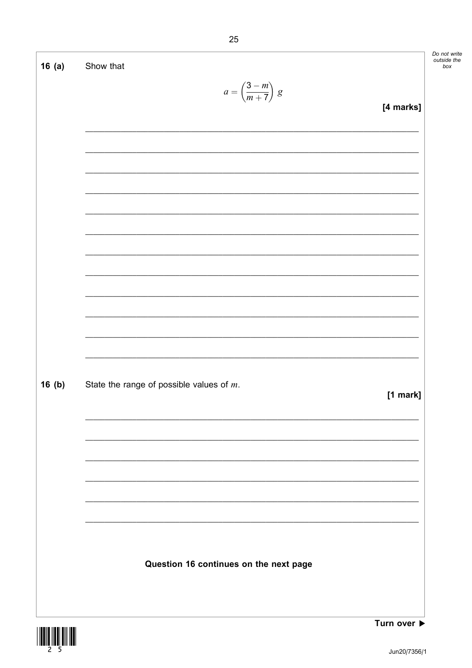Do not write<br>outside the<br>box

٦

| 16(a) | Show that                                   |           |
|-------|---------------------------------------------|-----------|
|       | $a = \left(\frac{3-m}{m+7}\right) g$        | [4 marks] |
|       |                                             |           |
|       |                                             |           |
|       |                                             |           |
|       |                                             |           |
|       |                                             |           |
|       |                                             |           |
|       |                                             |           |
|       |                                             |           |
|       |                                             |           |
|       |                                             |           |
| 16(b) | State the range of possible values of $m$ . | [1 mark]  |
|       |                                             |           |
|       |                                             |           |
|       |                                             |           |
|       |                                             |           |
|       |                                             |           |
|       | Question 16 continues on the next page      |           |
|       |                                             |           |



 $\Gamma$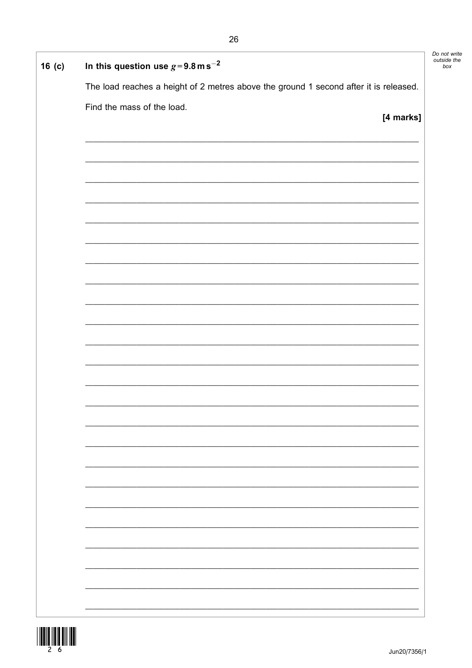| $16$ (c) | In this question use $g = 9.8$ m s <sup>-2</sup>                                      | Do not write<br>outside the<br>box |
|----------|---------------------------------------------------------------------------------------|------------------------------------|
|          | The load reaches a height of 2 metres above the ground 1 second after it is released. |                                    |
|          | Find the mass of the load.<br>[4 marks]                                               |                                    |
|          |                                                                                       |                                    |
|          |                                                                                       |                                    |
|          |                                                                                       |                                    |
|          |                                                                                       |                                    |
|          |                                                                                       |                                    |
|          |                                                                                       |                                    |
|          |                                                                                       |                                    |
|          |                                                                                       |                                    |
|          |                                                                                       |                                    |
|          |                                                                                       |                                    |
|          |                                                                                       |                                    |
|          |                                                                                       |                                    |
|          |                                                                                       |                                    |
|          |                                                                                       |                                    |
|          |                                                                                       |                                    |
|          |                                                                                       |                                    |
|          |                                                                                       |                                    |
|          |                                                                                       |                                    |
|          |                                                                                       |                                    |
|          |                                                                                       |                                    |
|          |                                                                                       |                                    |
|          |                                                                                       |                                    |
|          |                                                                                       |                                    |

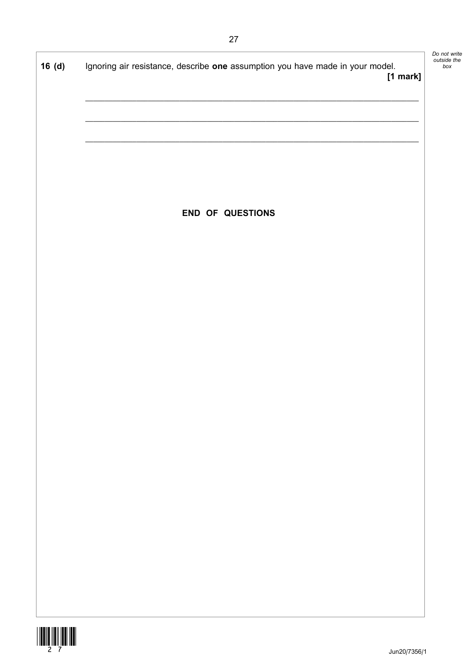٦

| 16(d) | Ignoring air resistance, describe one assumption you have made in your model.<br>$[1$ mark] |  |
|-------|---------------------------------------------------------------------------------------------|--|
|       |                                                                                             |  |
|       |                                                                                             |  |
|       |                                                                                             |  |
|       |                                                                                             |  |
|       | END OF QUESTIONS                                                                            |  |
|       |                                                                                             |  |
|       |                                                                                             |  |
|       |                                                                                             |  |
|       |                                                                                             |  |
|       |                                                                                             |  |
|       |                                                                                             |  |
|       |                                                                                             |  |
|       |                                                                                             |  |
|       |                                                                                             |  |
|       |                                                                                             |  |
|       |                                                                                             |  |
|       |                                                                                             |  |
|       |                                                                                             |  |
|       |                                                                                             |  |
|       |                                                                                             |  |

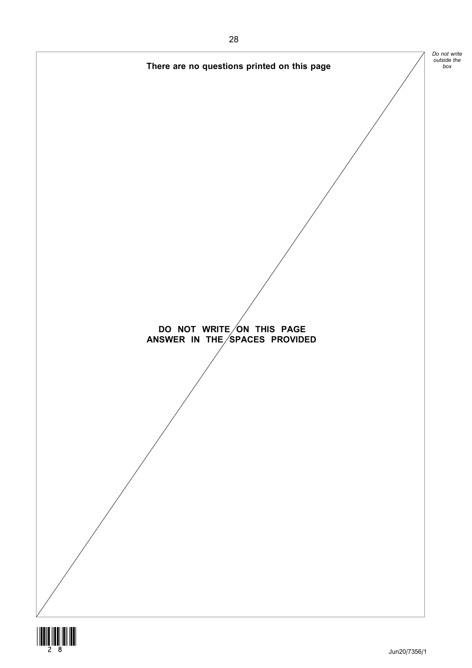

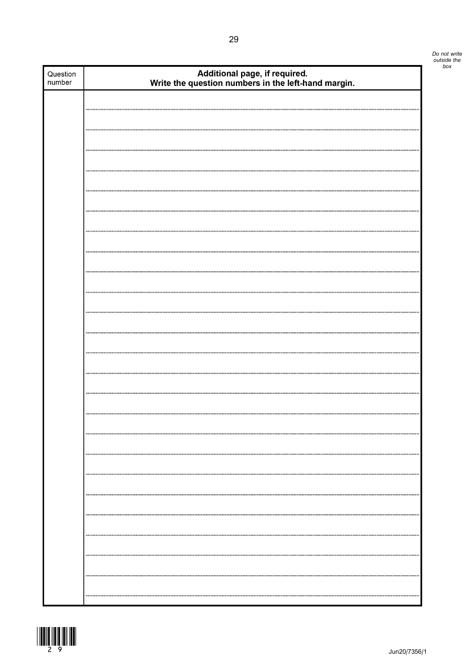| Question<br>number | Additional page, if required.<br>Write the question numbers in the left-hand margin. |
|--------------------|--------------------------------------------------------------------------------------|
|                    |                                                                                      |
|                    |                                                                                      |
|                    |                                                                                      |
|                    |                                                                                      |
|                    |                                                                                      |
|                    |                                                                                      |
|                    |                                                                                      |
|                    |                                                                                      |
|                    |                                                                                      |
|                    |                                                                                      |
|                    |                                                                                      |
|                    |                                                                                      |
|                    |                                                                                      |
|                    |                                                                                      |
|                    |                                                                                      |
|                    |                                                                                      |
|                    |                                                                                      |
|                    |                                                                                      |
|                    |                                                                                      |
|                    |                                                                                      |
|                    |                                                                                      |
|                    |                                                                                      |
|                    |                                                                                      |
|                    |                                                                                      |
|                    |                                                                                      |
|                    |                                                                                      |
|                    |                                                                                      |
|                    |                                                                                      |
|                    |                                                                                      |
|                    |                                                                                      |
|                    |                                                                                      |
|                    |                                                                                      |
|                    |                                                                                      |
|                    |                                                                                      |
|                    |                                                                                      |
|                    |                                                                                      |

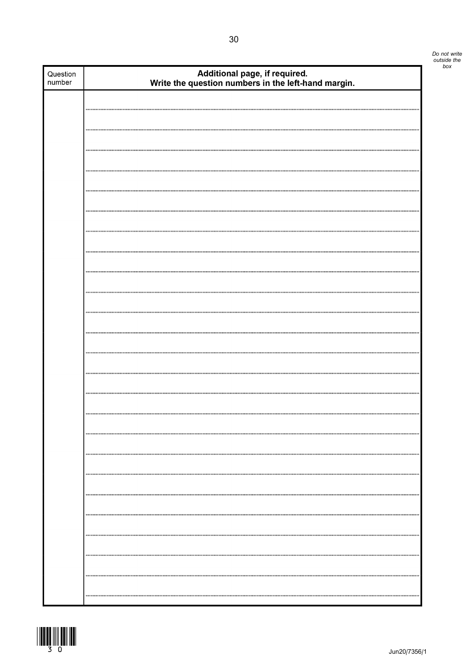| Question<br>number | Additional page, if required.<br>Write the question numbers in the left-hand margin. |
|--------------------|--------------------------------------------------------------------------------------|
|                    |                                                                                      |
|                    |                                                                                      |
|                    |                                                                                      |
|                    |                                                                                      |
|                    |                                                                                      |
|                    |                                                                                      |
|                    |                                                                                      |
|                    |                                                                                      |
|                    |                                                                                      |
|                    |                                                                                      |
|                    |                                                                                      |
|                    |                                                                                      |
|                    |                                                                                      |
|                    |                                                                                      |
|                    |                                                                                      |
|                    |                                                                                      |
|                    |                                                                                      |
|                    |                                                                                      |
|                    |                                                                                      |
|                    |                                                                                      |
|                    |                                                                                      |
|                    |                                                                                      |
|                    |                                                                                      |
|                    |                                                                                      |
|                    |                                                                                      |
|                    |                                                                                      |
|                    |                                                                                      |
|                    |                                                                                      |

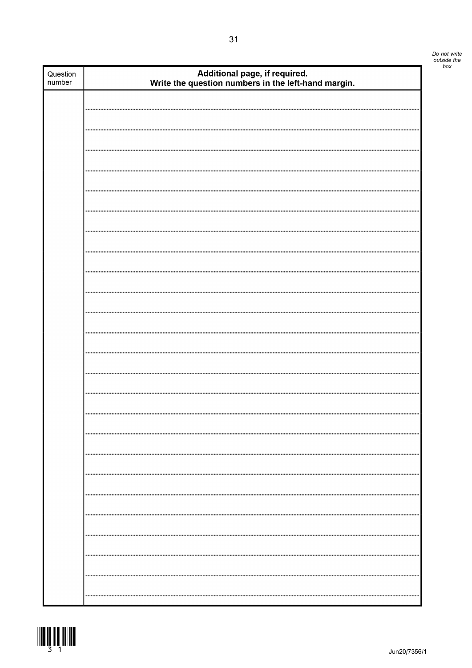| Question<br>number | Additional page, if required.<br>Write the question numbers in the left-hand margin. |
|--------------------|--------------------------------------------------------------------------------------|
|                    |                                                                                      |
|                    |                                                                                      |
|                    |                                                                                      |
|                    |                                                                                      |
|                    |                                                                                      |
|                    |                                                                                      |
|                    |                                                                                      |
|                    |                                                                                      |
|                    |                                                                                      |
|                    |                                                                                      |
|                    |                                                                                      |
|                    |                                                                                      |
|                    |                                                                                      |
|                    |                                                                                      |
|                    |                                                                                      |
|                    |                                                                                      |
|                    |                                                                                      |
|                    |                                                                                      |
|                    |                                                                                      |
|                    |                                                                                      |
|                    |                                                                                      |
|                    |                                                                                      |
|                    |                                                                                      |
|                    |                                                                                      |
|                    |                                                                                      |
|                    |                                                                                      |
|                    |                                                                                      |
|                    |                                                                                      |
|                    |                                                                                      |